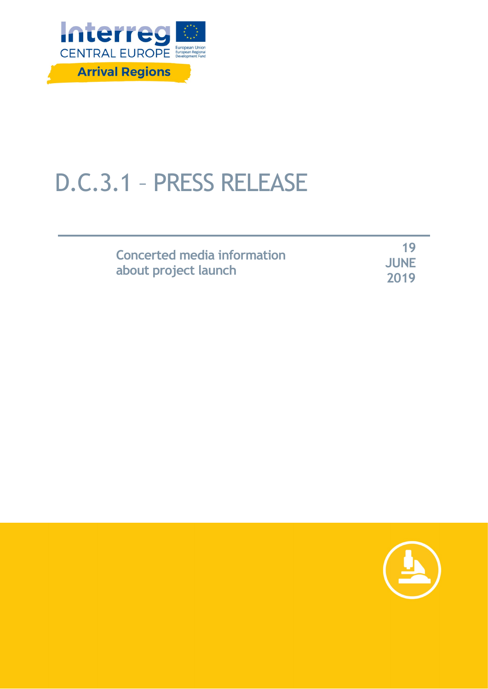

## D.C.3.1 – PRESS RELEASE

| Concerted media information |  |
|-----------------------------|--|
| about project launch        |  |

**19 JUNE 2019**

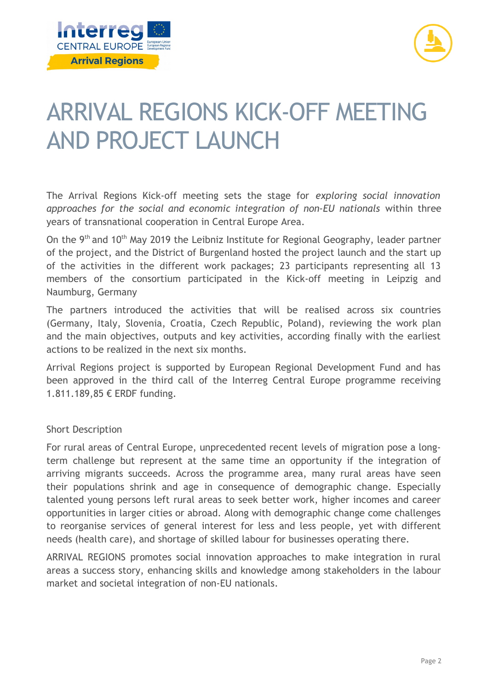



## ARRIVAL REGIONS KICK-OFF MEETING AND PROJECT LAUNCH

The Arrival Regions Kick-off meeting sets the stage for *exploring social innovation approaches for the social and economic integration of non-EU nationals* within three years of transnational cooperation in Central Europe Area.

On the 9th and 10th May 2019 the Leibniz Institute for Regional Geography, leader partner of the project, and the District of Burgenland hosted the project launch and the start up of the activities in the different work packages; 23 participants representing all 13 members of the consortium participated in the Kick-off meeting in Leipzig and Naumburg, Germany

The partners introduced the activities that will be realised across six countries (Germany, Italy, Slovenia, Croatia, Czech Republic, Poland), reviewing the work plan and the main objectives, outputs and key activities, according finally with the earliest actions to be realized in the next six months.

Arrival Regions project is supported by European Regional Development Fund and has been approved in the third call of the Interreg Central Europe programme receiving 1.811.189,85 € ERDF funding.

## Short Description

For rural areas of Central Europe, unprecedented recent levels of migration pose a longterm challenge but represent at the same time an opportunity if the integration of arriving migrants succeeds. Across the programme area, many rural areas have seen their populations shrink and age in consequence of demographic change. Especially talented young persons left rural areas to seek better work, higher incomes and career opportunities in larger cities or abroad. Along with demographic change come challenges to reorganise services of general interest for less and less people, yet with different needs (health care), and shortage of skilled labour for businesses operating there.

ARRIVAL REGIONS promotes social innovation approaches to make integration in rural areas a success story, enhancing skills and knowledge among stakeholders in the labour market and societal integration of non-EU nationals.